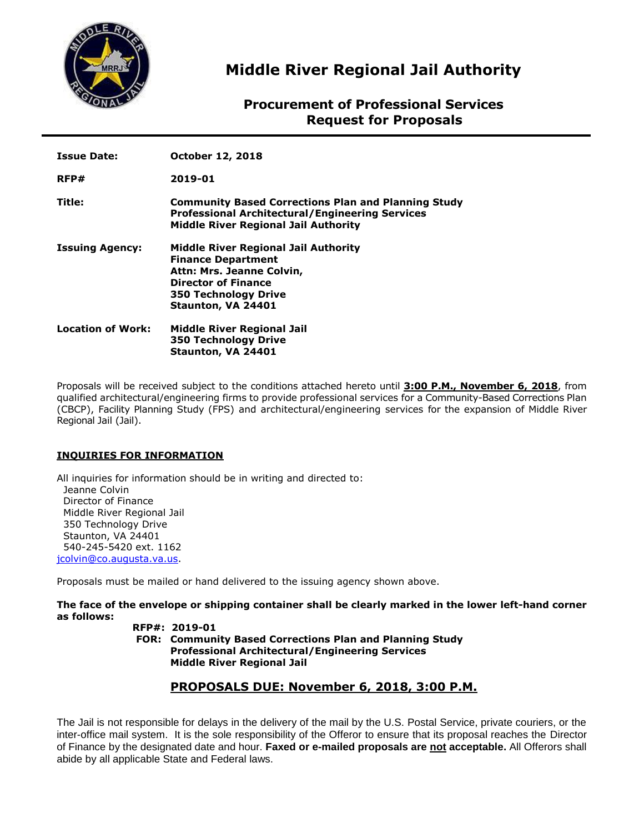

# **Middle River Regional Jail Authority**

# **Procurement of Professional Services Request for Proposals**

| <b>Issue Date:</b>       | <b>October 12, 2018</b>                                                                                                                                                                  |
|--------------------------|------------------------------------------------------------------------------------------------------------------------------------------------------------------------------------------|
| RFP#                     | 2019-01                                                                                                                                                                                  |
| Title:                   | <b>Community Based Corrections Plan and Planning Study</b><br><b>Professional Architectural/Engineering Services</b><br><b>Middle River Regional Jail Authority</b>                      |
| <b>Issuing Agency:</b>   | <b>Middle River Regional Jail Authority</b><br><b>Finance Department</b><br>Attn: Mrs. Jeanne Colvin,<br><b>Director of Finance</b><br><b>350 Technology Drive</b><br>Staunton, VA 24401 |
| <b>Location of Work:</b> | <b>Middle River Regional Jail</b><br><b>350 Technology Drive</b><br>Staunton, VA 24401                                                                                                   |

Proposals will be received subject to the conditions attached hereto until **3:00 P.M., November 6, 2018**, from qualified architectural/engineering firms to provide professional services for a Community-Based Corrections Plan (CBCP), Facility Planning Study (FPS) and architectural/engineering services for the expansion of Middle River Regional Jail (Jail).

# **INQUIRIES FOR INFORMATION**

All inquiries for information should be in writing and directed to: Jeanne Colvin Director of Finance Middle River Regional Jail 350 Technology Drive Staunton, VA 24401 540-245-5420 ext. 1162 [jcolvin@co.augusta.va.us.](mailto:jcolvin@co.augusta.va.us)

Proposals must be mailed or hand delivered to the issuing agency shown above.

**The face of the envelope or shipping container shall be clearly marked in the lower left-hand corner as follows:**

**RFP#: 2019-01 FOR: Community Based Corrections Plan and Planning Study Professional Architectural/Engineering Services Middle River Regional Jail**

# **PROPOSALS DUE: November 6, 2018, 3:00 P.M.**

The Jail is not responsible for delays in the delivery of the mail by the U.S. Postal Service, private couriers, or the inter-office mail system. It is the sole responsibility of the Offeror to ensure that its proposal reaches the Director of Finance by the designated date and hour. **Faxed or e-mailed proposals are not acceptable.** All Offerors shall abide by all applicable State and Federal laws.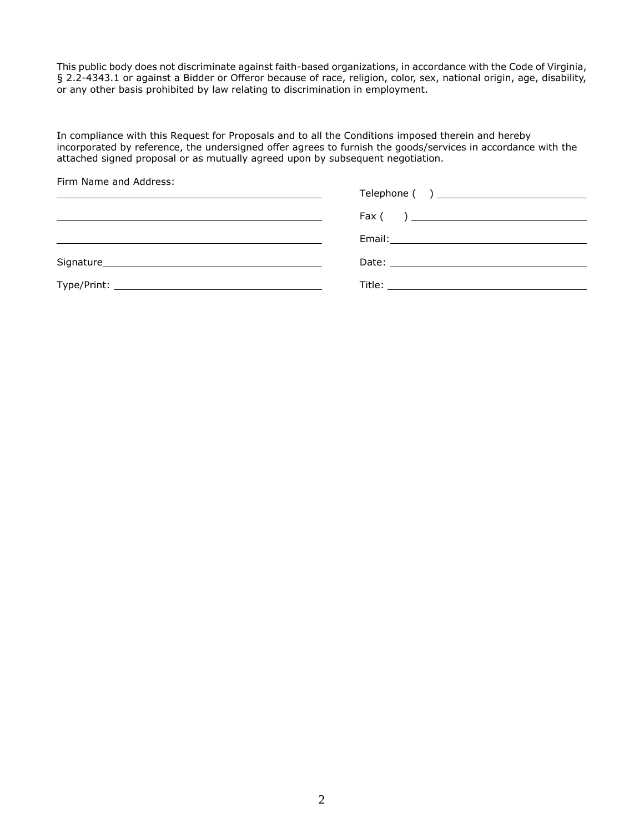This public body does not discriminate against faith-based organizations, in accordance with the Code of Virginia, § 2.2-4343.1 or against a Bidder or Offeror because of race, religion, color, sex, national origin, age, disability, or any other basis prohibited by law relating to discrimination in employment.

In compliance with this Request for Proposals and to all the Conditions imposed therein and hereby incorporated by reference, the undersigned offer agrees to furnish the goods/services in accordance with the attached signed proposal or as mutually agreed upon by subsequent negotiation.

| Firm Name and Address:<br><u> 1989 - Andrea Brand, amerikansk politik (</u> |                                                                                                                |
|-----------------------------------------------------------------------------|----------------------------------------------------------------------------------------------------------------|
|                                                                             |                                                                                                                |
|                                                                             |                                                                                                                |
|                                                                             | Date: Note: Note: Note: Note: Note: Note: Note: Note: Note: Note: Note: Note: Note: Note: Note: Note: Note: No |
|                                                                             | Title: __ <b>_________________________________</b> ___                                                         |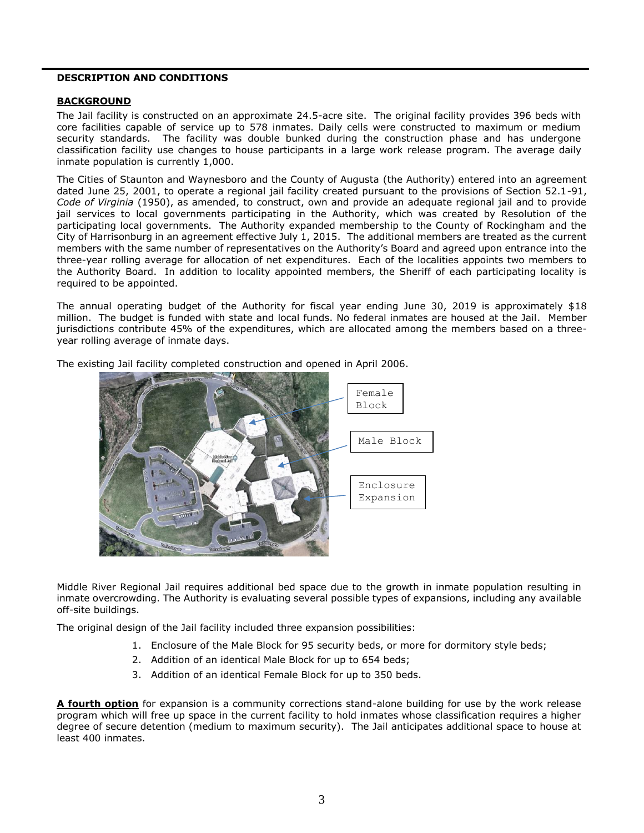#### **DESCRIPTION AND CONDITIONS**

#### **BACKGROUND**

The Jail facility is constructed on an approximate 24.5-acre site. The original facility provides 396 beds with core facilities capable of service up to 578 inmates. Daily cells were constructed to maximum or medium security standards. The facility was double bunked during the construction phase and has undergone classification facility use changes to house participants in a large work release program. The average daily inmate population is currently 1,000.

The Cities of Staunton and Waynesboro and the County of Augusta (the Authority) entered into an agreement dated June 25, 2001, to operate a regional jail facility created pursuant to the provisions of Section 52.1-91, *Code of Virginia* (1950), as amended, to construct, own and provide an adequate regional jail and to provide jail services to local governments participating in the Authority, which was created by Resolution of the participating local governments. The Authority expanded membership to the County of Rockingham and the City of Harrisonburg in an agreement effective July 1, 2015. The additional members are treated as the current members with the same number of representatives on the Authority's Board and agreed upon entrance into the three-year rolling average for allocation of net expenditures. Each of the localities appoints two members to the Authority Board. In addition to locality appointed members, the Sheriff of each participating locality is required to be appointed.

The annual operating budget of the Authority for fiscal year ending June 30, 2019 is approximately \$18 million. The budget is funded with state and local funds. No federal inmates are housed at the Jail. Member jurisdictions contribute 45% of the expenditures, which are allocated among the members based on a threeyear rolling average of inmate days.

The existing Jail facility completed construction and opened in April 2006.



Middle River Regional Jail requires additional bed space due to the growth in inmate population resulting in inmate overcrowding. The Authority is evaluating several possible types of expansions, including any available off-site buildings.

The original design of the Jail facility included three expansion possibilities:

- 1. Enclosure of the Male Block for 95 security beds, or more for dormitory style beds;
- 2. Addition of an identical Male Block for up to 654 beds;
- 3. Addition of an identical Female Block for up to 350 beds.

**A fourth option** for expansion is a community corrections stand-alone building for use by the work release program which will free up space in the current facility to hold inmates whose classification requires a higher degree of secure detention (medium to maximum security). The Jail anticipates additional space to house at least 400 inmates.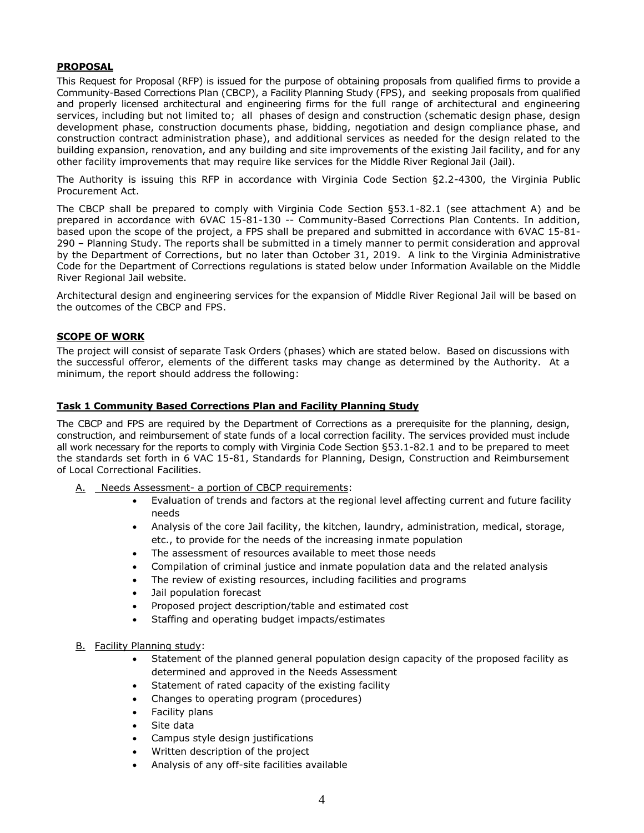## **PROPOSAL**

This Request for Proposal (RFP) is issued for the purpose of obtaining proposals from qualified firms to provide a Community-Based Corrections Plan (CBCP), a Facility Planning Study (FPS), and seeking proposals from qualified and properly licensed architectural and engineering firms for the full range of architectural and engineering services, including but not limited to; all phases of design and construction (schematic design phase, design development phase, construction documents phase, bidding, negotiation and design compliance phase, and construction contract administration phase), and additional services as needed for the design related to the building expansion, renovation, and any building and site improvements of the existing Jail facility, and for any other facility improvements that may require like services for the Middle River Regional Jail (Jail).

The Authority is issuing this RFP in accordance with Virginia Code Section §2.2-4300, the Virginia Public Procurement Act.

The CBCP shall be prepared to comply with Virginia Code Section §53.1-82.1 (see attachment A) and be prepared in accordance with 6VAC 15-81-130 -- Community-Based Corrections Plan Contents. In addition, based upon the scope of the project, a FPS shall be prepared and submitted in accordance with 6VAC 15-81- 290 – Planning Study. The reports shall be submitted in a timely manner to permit consideration and approval by the Department of Corrections, but no later than October 31, 2019. A link to the Virginia Administrative Code for the Department of Corrections regulations is stated below under Information Available on the Middle River Regional Jail website.

Architectural design and engineering services for the expansion of Middle River Regional Jail will be based on the outcomes of the CBCP and FPS.

#### **SCOPE OF WORK**

The project will consist of separate Task Orders (phases) which are stated below. Based on discussions with the successful offeror, elements of the different tasks may change as determined by the Authority. At a minimum, the report should address the following:

#### **Task 1 Community Based Corrections Plan and Facility Planning Study**

The CBCP and FPS are required by the Department of Corrections as a prerequisite for the planning, design, construction, and reimbursement of state funds of a local correction facility. The services provided must include all work necessary for the reports to comply with Virginia Code Section §53.1-82.1 and to be prepared to meet the standards set forth in 6 VAC 15-81, Standards for Planning, Design, Construction and Reimbursement of Local Correctional Facilities.

- A. Needs Assessment- a portion of CBCP requirements:
	- Evaluation of trends and factors at the regional level affecting current and future facility needs
	- Analysis of the core Jail facility, the kitchen, laundry, administration, medical, storage, etc., to provide for the needs of the increasing inmate population
	- The assessment of resources available to meet those needs
	- Compilation of criminal justice and inmate population data and the related analysis
	- The review of existing resources, including facilities and programs
	- Jail population forecast
	- Proposed project description/table and estimated cost
	- Staffing and operating budget impacts/estimates
- B. Facility Planning study:
	- Statement of the planned general population design capacity of the proposed facility as determined and approved in the Needs Assessment
	- Statement of rated capacity of the existing facility
	- Changes to operating program (procedures)
	- Facility plans
	- Site data
	- Campus style design justifications
	- Written description of the project
	- Analysis of any off-site facilities available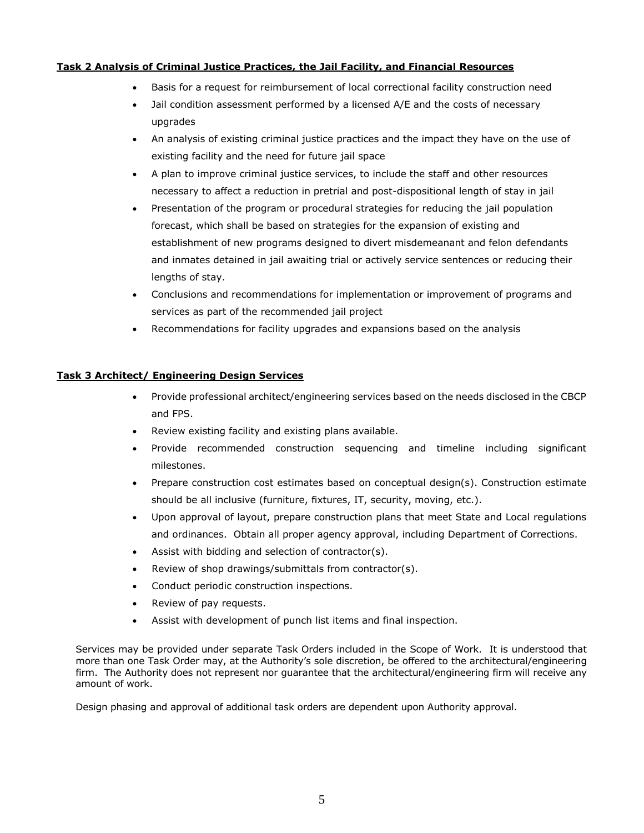# **Task 2 Analysis of Criminal Justice Practices, the Jail Facility, and Financial Resources**

- Basis for a request for reimbursement of local correctional facility construction need
- Jail condition assessment performed by a licensed A/E and the costs of necessary upgrades
- An analysis of existing criminal justice practices and the impact they have on the use of existing facility and the need for future jail space
- A plan to improve criminal justice services, to include the staff and other resources necessary to affect a reduction in pretrial and post-dispositional length of stay in jail
- Presentation of the program or procedural strategies for reducing the jail population forecast, which shall be based on strategies for the expansion of existing and establishment of new programs designed to divert misdemeanant and felon defendants and inmates detained in jail awaiting trial or actively service sentences or reducing their lengths of stay.
- Conclusions and recommendations for implementation or improvement of programs and services as part of the recommended jail project
- Recommendations for facility upgrades and expansions based on the analysis

## **Task 3 Architect/ Engineering Design Services**

- Provide professional architect/engineering services based on the needs disclosed in the CBCP and FPS.
- Review existing facility and existing plans available.
- Provide recommended construction sequencing and timeline including significant milestones.
- Prepare construction cost estimates based on conceptual design(s). Construction estimate should be all inclusive (furniture, fixtures, IT, security, moving, etc.).
- Upon approval of layout, prepare construction plans that meet State and Local regulations and ordinances. Obtain all proper agency approval, including Department of Corrections.
- Assist with bidding and selection of contractor(s).
- Review of shop drawings/submittals from contractor(s).
- Conduct periodic construction inspections.
- Review of pay requests.
- Assist with development of punch list items and final inspection.

Services may be provided under separate Task Orders included in the Scope of Work. It is understood that more than one Task Order may, at the Authority's sole discretion, be offered to the architectural/engineering firm. The Authority does not represent nor guarantee that the architectural/engineering firm will receive any amount of work.

Design phasing and approval of additional task orders are dependent upon Authority approval.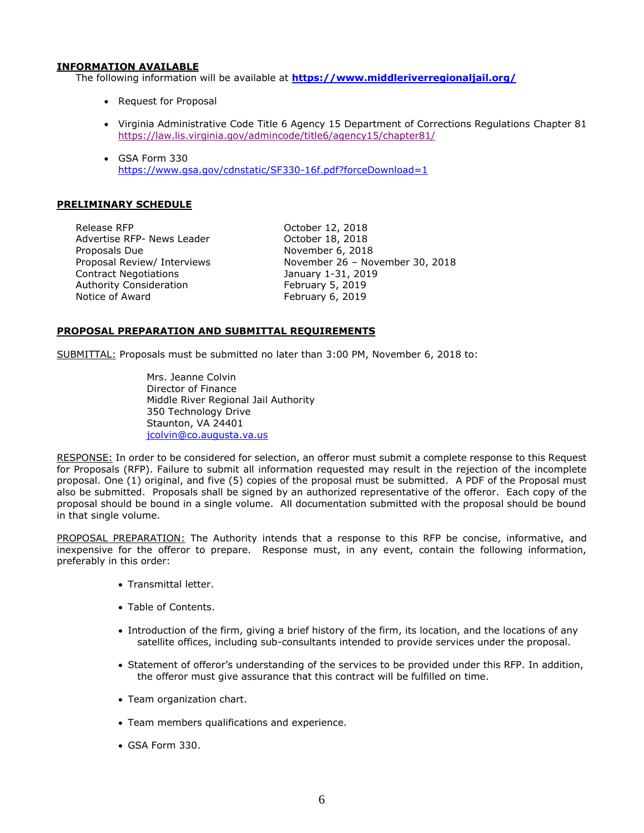#### **INFORMATION AVAILABLE**

The following information will be available at **<https://www.middleriverregionaljail.org/>**

- Request for Proposal
- Virginia Administrative Code Title 6 Agency 15 Department of Corrections Regulations Chapter 81 <https://law.lis.virginia.gov/admincode/title6/agency15/chapter81/>
- GSA Form 330 <https://www.gsa.gov/cdnstatic/SF330-16f.pdf?forceDownload=1>

#### **PRELIMINARY SCHEDULE**

Release RFP<br>
Advertise RFP- News Leader
and Corober 18, 2018 Advertise RFP- News Leader Proposals Due<br>
Proposal Review/ Interviews
November 26 - No Contract Negotiations January 1-31, 2019 Authority Consideration February 5, 2019 Notice of Award February 6, 2019

November 26 – November 30, 2018

#### **PROPOSAL PREPARATION AND SUBMITTAL REQUIREMENTS**

SUBMITTAL: Proposals must be submitted no later than 3:00 PM, November 6, 2018 to:

Mrs. Jeanne Colvin Director of Finance Middle River Regional Jail Authority 350 Technology Drive Staunton, VA 24401 [jcolvin@co.augusta.va.us](mailto:jcolvin@co.augusta.va.us)

RESPONSE: In order to be considered for selection, an offeror must submit a complete response to this Request for Proposals (RFP). Failure to submit all information requested may result in the rejection of the incomplete proposal. One (1) original, and five (5) copies of the proposal must be submitted. A PDF of the Proposal must also be submitted. Proposals shall be signed by an authorized representative of the offeror. Each copy of the proposal should be bound in a single volume. All documentation submitted with the proposal should be bound in that single volume.

PROPOSAL PREPARATION: The Authority intends that a response to this RFP be concise, informative, and inexpensive for the offeror to prepare. Response must, in any event, contain the following information, preferably in this order:

- Transmittal letter.
- Table of Contents.
- Introduction of the firm, giving a brief history of the firm, its location, and the locations of any satellite offices, including sub-consultants intended to provide services under the proposal.
- Statement of offeror's understanding of the services to be provided under this RFP. In addition, the offeror must give assurance that this contract will be fulfilled on time.
- Team organization chart.
- Team members qualifications and experience.
- GSA Form 330.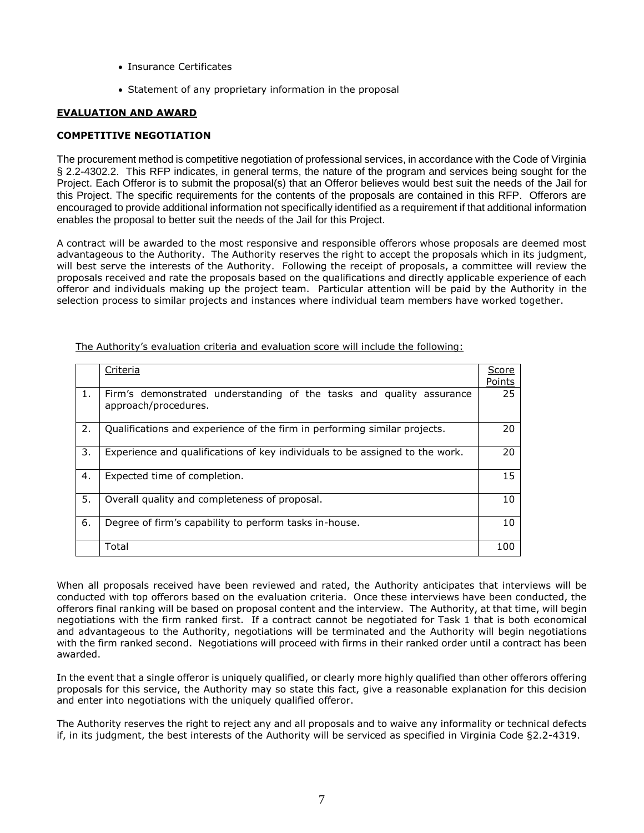- Insurance Certificates
- Statement of any proprietary information in the proposal

# **EVALUATION AND AWARD**

## **COMPETITIVE NEGOTIATION**

The procurement method is competitive negotiation of professional services, in accordance with the Code of Virginia § 2.2-4302.2. This RFP indicates, in general terms, the nature of the program and services being sought for the Project. Each Offeror is to submit the proposal(s) that an Offeror believes would best suit the needs of the Jail for this Project. The specific requirements for the contents of the proposals are contained in this RFP. Offerors are encouraged to provide additional information not specifically identified as a requirement if that additional information enables the proposal to better suit the needs of the Jail for this Project.

A contract will be awarded to the most responsive and responsible offerors whose proposals are deemed most advantageous to the Authority. The Authority reserves the right to accept the proposals which in its judgment, will best serve the interests of the Authority. Following the receipt of proposals, a committee will review the proposals received and rate the proposals based on the qualifications and directly applicable experience of each offeror and individuals making up the project team. Particular attention will be paid by the Authority in the selection process to similar projects and instances where individual team members have worked together.

|    | Criteria                                                                                     | Score         |
|----|----------------------------------------------------------------------------------------------|---------------|
|    |                                                                                              | <b>Points</b> |
| 1. | Firm's demonstrated understanding of the tasks and quality assurance<br>approach/procedures. | 25            |
| 2. | Qualifications and experience of the firm in performing similar projects.                    | 20            |
| 3. | Experience and qualifications of key individuals to be assigned to the work.                 | 20            |
| 4. | Expected time of completion.                                                                 | 15            |
| 5. | Overall quality and completeness of proposal.                                                | 10            |
| 6. | Degree of firm's capability to perform tasks in-house.                                       |               |
|    | Total                                                                                        | 100           |

The Authority's evaluation criteria and evaluation score will include the following:

When all proposals received have been reviewed and rated, the Authority anticipates that interviews will be conducted with top offerors based on the evaluation criteria. Once these interviews have been conducted, the offerors final ranking will be based on proposal content and the interview. The Authority, at that time, will begin negotiations with the firm ranked first. If a contract cannot be negotiated for Task 1 that is both economical and advantageous to the Authority, negotiations will be terminated and the Authority will begin negotiations with the firm ranked second. Negotiations will proceed with firms in their ranked order until a contract has been awarded.

In the event that a single offeror is uniquely qualified, or clearly more highly qualified than other offerors offering proposals for this service, the Authority may so state this fact, give a reasonable explanation for this decision and enter into negotiations with the uniquely qualified offeror.

The Authority reserves the right to reject any and all proposals and to waive any informality or technical defects if, in its judgment, the best interests of the Authority will be serviced as specified in Virginia Code §2.2-4319.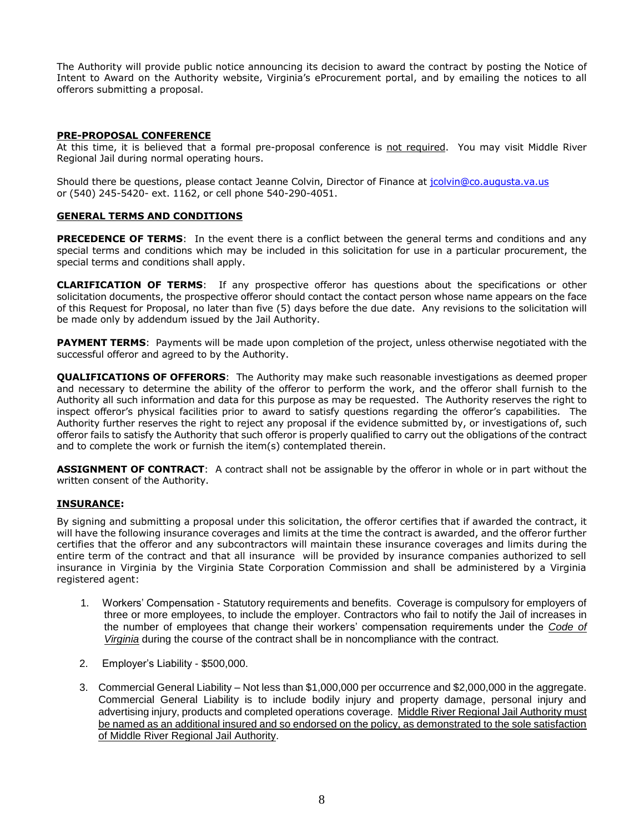The Authority will provide public notice announcing its decision to award the contract by posting the Notice of Intent to Award on the Authority website, Virginia's eProcurement portal, and by emailing the notices to all offerors submitting a proposal.

#### **PRE-PROPOSAL CONFERENCE**

At this time, it is believed that a formal pre-proposal conference is not required. You may visit Middle River Regional Jail during normal operating hours.

Should there be questions, please contact Jeanne Colvin, Director of Finance at [jcolvin@co.augusta.va.us](mailto:jcolvin@co.augusta.va.us) or (540) 245-5420- ext. 1162, or cell phone 540-290-4051.

#### **GENERAL TERMS AND CONDITIONS**

**PRECEDENCE OF TERMS:** In the event there is a conflict between the general terms and conditions and any special terms and conditions which may be included in this solicitation for use in a particular procurement, the special terms and conditions shall apply.

**CLARIFICATION OF TERMS**: If any prospective offeror has questions about the specifications or other solicitation documents, the prospective offeror should contact the contact person whose name appears on the face of this Request for Proposal, no later than five (5) days before the due date. Any revisions to the solicitation will be made only by addendum issued by the Jail Authority.

**PAYMENT TERMS**: Payments will be made upon completion of the project, unless otherwise negotiated with the successful offeror and agreed to by the Authority.

**QUALIFICATIONS OF OFFERORS**: The Authority may make such reasonable investigations as deemed proper and necessary to determine the ability of the offeror to perform the work, and the offeror shall furnish to the Authority all such information and data for this purpose as may be requested. The Authority reserves the right to inspect offeror's physical facilities prior to award to satisfy questions regarding the offeror's capabilities. The Authority further reserves the right to reject any proposal if the evidence submitted by, or investigations of, such offeror fails to satisfy the Authority that such offeror is properly qualified to carry out the obligations of the contract and to complete the work or furnish the item(s) contemplated therein.

**ASSIGNMENT OF CONTRACT**: A contract shall not be assignable by the offeror in whole or in part without the written consent of the Authority.

#### **INSURANCE:**

By signing and submitting a proposal under this solicitation, the offeror certifies that if awarded the contract, it will have the following insurance coverages and limits at the time the contract is awarded, and the offeror further certifies that the offeror and any subcontractors will maintain these insurance coverages and limits during the entire term of the contract and that all insurance will be provided by insurance companies authorized to sell insurance in Virginia by the Virginia State Corporation Commission and shall be administered by a Virginia registered agent:

- 1. Workers' Compensation Statutory requirements and benefits. Coverage is compulsory for employers of three or more employees, to include the employer. Contractors who fail to notify the Jail of increases in the number of employees that change their workers' compensation requirements under the *Code of Virginia* during the course of the contract shall be in noncompliance with the contract.
- 2. Employer's Liability \$500,000.
- 3. Commercial General Liability Not less than \$1,000,000 per occurrence and \$2,000,000 in the aggregate. Commercial General Liability is to include bodily injury and property damage, personal injury and advertising injury, products and completed operations coverage. Middle River Regional Jail Authority must be named as an additional insured and so endorsed on the policy, as demonstrated to the sole satisfaction of Middle River Regional Jail Authority.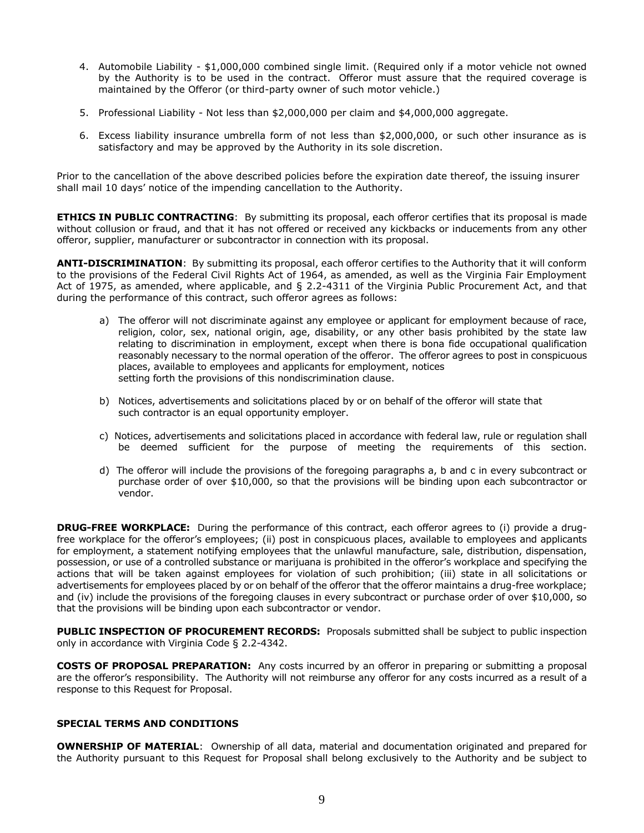- 4. Automobile Liability \$1,000,000 combined single limit. (Required only if a motor vehicle not owned by the Authority is to be used in the contract. Offeror must assure that the required coverage is maintained by the Offeror (or third-party owner of such motor vehicle.)
- 5. Professional Liability Not less than \$2,000,000 per claim and \$4,000,000 aggregate.
- 6. Excess liability insurance umbrella form of not less than \$2,000,000, or such other insurance as is satisfactory and may be approved by the Authority in its sole discretion.

Prior to the cancellation of the above described policies before the expiration date thereof, the issuing insurer shall mail 10 days' notice of the impending cancellation to the Authority.

**ETHICS IN PUBLIC CONTRACTING:** By submitting its proposal, each offeror certifies that its proposal is made without collusion or fraud, and that it has not offered or received any kickbacks or inducements from any other offeror, supplier, manufacturer or subcontractor in connection with its proposal.

**ANTI-DISCRIMINATION**: By submitting its proposal, each offeror certifies to the Authority that it will conform to the provisions of the Federal Civil Rights Act of 1964, as amended, as well as the Virginia Fair Employment Act of 1975, as amended, where applicable, and § 2.2-4311 of the Virginia Public Procurement Act, and that during the performance of this contract, such offeror agrees as follows:

- a) The offeror will not discriminate against any employee or applicant for employment because of race, religion, color, sex, national origin, age, disability, or any other basis prohibited by the state law relating to discrimination in employment, except when there is bona fide occupational qualification reasonably necessary to the normal operation of the offeror. The offeror agrees to post in conspicuous places, available to employees and applicants for employment, notices setting forth the provisions of this nondiscrimination clause.
- b) Notices, advertisements and solicitations placed by or on behalf of the offeror will state that such contractor is an equal opportunity employer.
- c) Notices, advertisements and solicitations placed in accordance with federal law, rule or regulation shall be deemed sufficient for the purpose of meeting the requirements of this section.
- d) The offeror will include the provisions of the foregoing paragraphs a, b and c in every subcontract or purchase order of over \$10,000, so that the provisions will be binding upon each subcontractor or vendor.

**DRUG-FREE WORKPLACE:** During the performance of this contract, each offeror agrees to (i) provide a drugfree workplace for the offeror's employees; (ii) post in conspicuous places, available to employees and applicants for employment, a statement notifying employees that the unlawful manufacture, sale, distribution, dispensation, possession, or use of a controlled substance or marijuana is prohibited in the offeror's workplace and specifying the actions that will be taken against employees for violation of such prohibition; (iii) state in all solicitations or advertisements for employees placed by or on behalf of the offeror that the offeror maintains a drug-free workplace; and (iv) include the provisions of the foregoing clauses in every subcontract or purchase order of over \$10,000, so that the provisions will be binding upon each subcontractor or vendor.

**PUBLIC INSPECTION OF PROCUREMENT RECORDS:** Proposals submitted shall be subject to public inspection only in accordance with Virginia Code § 2.2-4342.

**COSTS OF PROPOSAL PREPARATION:** Any costs incurred by an offeror in preparing or submitting a proposal are the offeror's responsibility. The Authority will not reimburse any offeror for any costs incurred as a result of a response to this Request for Proposal.

#### **SPECIAL TERMS AND CONDITIONS**

**OWNERSHIP OF MATERIAL**: Ownership of all data, material and documentation originated and prepared for the Authority pursuant to this Request for Proposal shall belong exclusively to the Authority and be subject to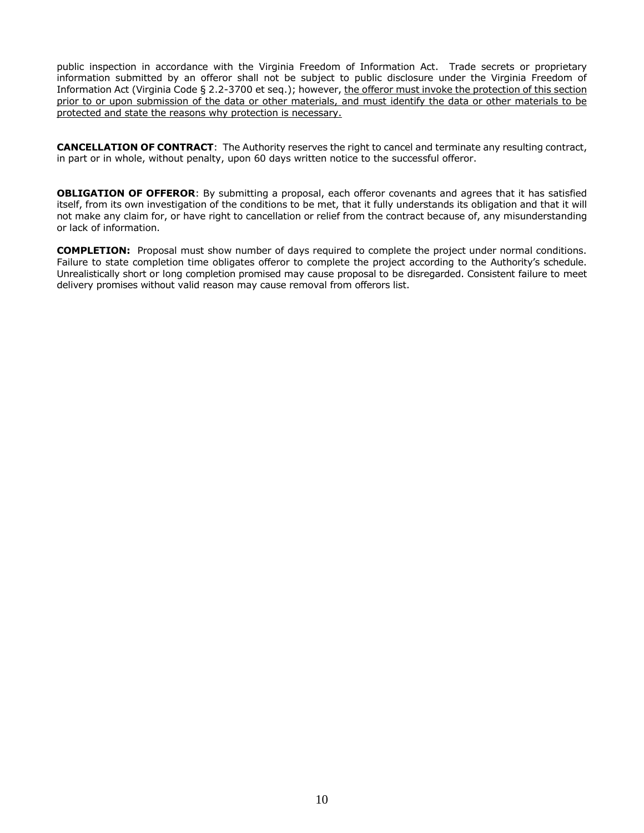public inspection in accordance with the Virginia Freedom of Information Act. Trade secrets or proprietary information submitted by an offeror shall not be subject to public disclosure under the Virginia Freedom of Information Act (Virginia Code § 2.2-3700 et seq.); however, the offeror must invoke the protection of this section prior to or upon submission of the data or other materials, and must identify the data or other materials to be protected and state the reasons why protection is necessary.

**CANCELLATION OF CONTRACT**: The Authority reserves the right to cancel and terminate any resulting contract, in part or in whole, without penalty, upon 60 days written notice to the successful offeror.

**OBLIGATION OF OFFEROR**: By submitting a proposal, each offeror covenants and agrees that it has satisfied itself, from its own investigation of the conditions to be met, that it fully understands its obligation and that it will not make any claim for, or have right to cancellation or relief from the contract because of, any misunderstanding or lack of information.

**COMPLETION:** Proposal must show number of days required to complete the project under normal conditions. Failure to state completion time obligates offeror to complete the project according to the Authority's schedule. Unrealistically short or long completion promised may cause proposal to be disregarded. Consistent failure to meet delivery promises without valid reason may cause removal from offerors list.